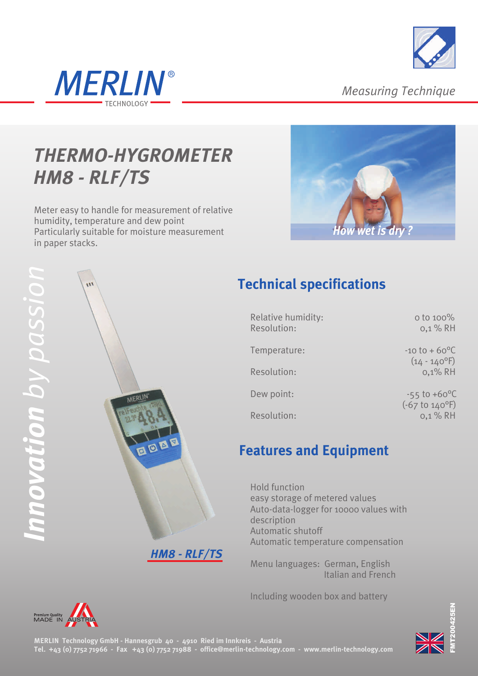



*Measuring Technique*

# *THERMO-HYGROMETER HM8 - RLF/TS*

Meter easy to handle for measurement of relative humidity, temperature and dew point Particularly suitable for moisture measurement in paper stacks.





### **Technical specifications**

| Relative humidity:<br>Resolution: | o to 100%<br>$0,1%$ RH                                                     |
|-----------------------------------|----------------------------------------------------------------------------|
| Temperature:                      | $-10$ to $+60$ <sup>o</sup> C<br>$(14 - 140$ <sup>o</sup> F)<br>$0,1\%$ RH |
| Resolution:                       |                                                                            |
| Dew point:                        | $-55$ to $+60^{\circ}$ C<br>$(-67 t0 140°F)$                               |
| Resolution:                       | 0,1 % RH                                                                   |

#### **Features and Equipment**

Hold function easy storage of metered values Auto-data-logger for 10000 values with description Automatic shutoff Automatic temperature compensation

Menu languages: German, English Italian and French

Including wooden box and battery





5pπ N